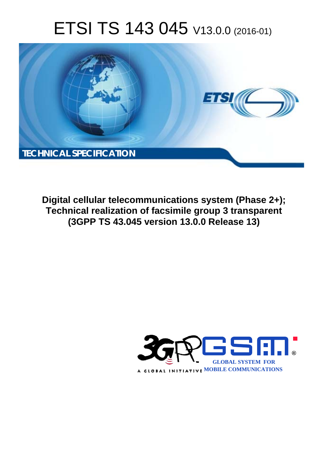# ETSI TS 143 045 V13.0.0 (2016-01)



**Digital cellular telecommunications system (Phase 2+); Technical realization of facsimile group 3 transparent (3GPP TS 43.0 .045 version 13.0.0 Release 13 13)** 

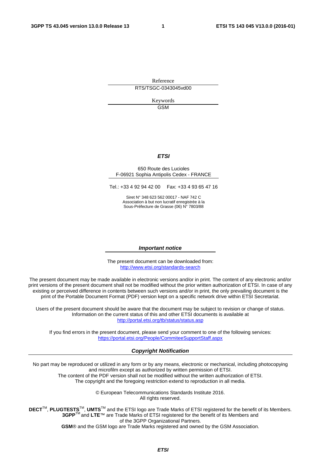Reference RTS/TSGC-0343045vd00

> Keywords GSM

#### *ETSI*

#### 650 Route des Lucioles F-06921 Sophia Antipolis Cedex - FRANCE

Tel.: +33 4 92 94 42 00 Fax: +33 4 93 65 47 16

Siret N° 348 623 562 00017 - NAF 742 C Association à but non lucratif enregistrée à la Sous-Préfecture de Grasse (06) N° 7803/88

#### *Important notice*

The present document can be downloaded from: <http://www.etsi.org/standards-search>

The present document may be made available in electronic versions and/or in print. The content of any electronic and/or print versions of the present document shall not be modified without the prior written authorization of ETSI. In case of any existing or perceived difference in contents between such versions and/or in print, the only prevailing document is the print of the Portable Document Format (PDF) version kept on a specific network drive within ETSI Secretariat.

Users of the present document should be aware that the document may be subject to revision or change of status. Information on the current status of this and other ETSI documents is available at <http://portal.etsi.org/tb/status/status.asp>

If you find errors in the present document, please send your comment to one of the following services: <https://portal.etsi.org/People/CommiteeSupportStaff.aspx>

#### *Copyright Notification*

No part may be reproduced or utilized in any form or by any means, electronic or mechanical, including photocopying and microfilm except as authorized by written permission of ETSI.

The content of the PDF version shall not be modified without the written authorization of ETSI. The copyright and the foregoing restriction extend to reproduction in all media.

> © European Telecommunications Standards Institute 2016. All rights reserved.

**DECT**TM, **PLUGTESTS**TM, **UMTS**TM and the ETSI logo are Trade Marks of ETSI registered for the benefit of its Members. **3GPP**TM and **LTE**™ are Trade Marks of ETSI registered for the benefit of its Members and of the 3GPP Organizational Partners.

**GSM**® and the GSM logo are Trade Marks registered and owned by the GSM Association.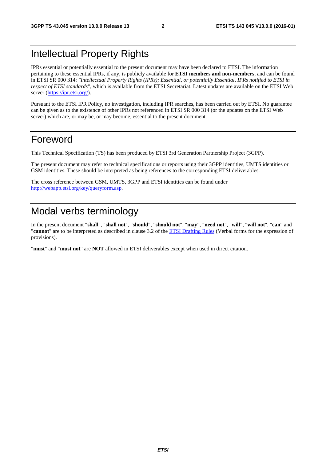## Intellectual Property Rights

IPRs essential or potentially essential to the present document may have been declared to ETSI. The information pertaining to these essential IPRs, if any, is publicly available for **ETSI members and non-members**, and can be found in ETSI SR 000 314: *"Intellectual Property Rights (IPRs); Essential, or potentially Essential, IPRs notified to ETSI in respect of ETSI standards"*, which is available from the ETSI Secretariat. Latest updates are available on the ETSI Web server [\(https://ipr.etsi.org/](https://ipr.etsi.org/)).

Pursuant to the ETSI IPR Policy, no investigation, including IPR searches, has been carried out by ETSI. No guarantee can be given as to the existence of other IPRs not referenced in ETSI SR 000 314 (or the updates on the ETSI Web server) which are, or may be, or may become, essential to the present document.

## Foreword

This Technical Specification (TS) has been produced by ETSI 3rd Generation Partnership Project (3GPP).

The present document may refer to technical specifications or reports using their 3GPP identities, UMTS identities or GSM identities. These should be interpreted as being references to the corresponding ETSI deliverables.

The cross reference between GSM, UMTS, 3GPP and ETSI identities can be found under [http://webapp.etsi.org/key/queryform.asp.](http://webapp.etsi.org/key/queryform.asp)

## Modal verbs terminology

In the present document "**shall**", "**shall not**", "**should**", "**should not**", "**may**", "**need not**", "**will**", "**will not**", "**can**" and "**cannot**" are to be interpreted as described in clause 3.2 of the [ETSI Drafting Rules](http://portal.etsi.org/Help/editHelp!/Howtostart/ETSIDraftingRules.aspx) (Verbal forms for the expression of provisions).

"**must**" and "**must not**" are **NOT** allowed in ETSI deliverables except when used in direct citation.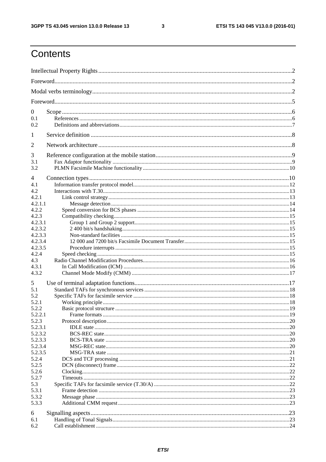$\mathbf{3}$ 

## Contents

| $\boldsymbol{0}$   |  |  |  |  |  |
|--------------------|--|--|--|--|--|
| 0.1                |  |  |  |  |  |
| 0.2                |  |  |  |  |  |
| 1                  |  |  |  |  |  |
| $\overline{2}$     |  |  |  |  |  |
| 3                  |  |  |  |  |  |
| 3.1                |  |  |  |  |  |
| 3.2                |  |  |  |  |  |
| 4                  |  |  |  |  |  |
| 4.1                |  |  |  |  |  |
| 4.2                |  |  |  |  |  |
| 4.2.1              |  |  |  |  |  |
| 4.2.1.1            |  |  |  |  |  |
| 4.2.2              |  |  |  |  |  |
| 4.2.3              |  |  |  |  |  |
| 4.2.3.1<br>4.2.3.2 |  |  |  |  |  |
| 4.2.3.3            |  |  |  |  |  |
| 4.2.3.4            |  |  |  |  |  |
| 4.2.3.5            |  |  |  |  |  |
| 4.2.4              |  |  |  |  |  |
| 4.3                |  |  |  |  |  |
| 4.3.1              |  |  |  |  |  |
| 4.3.2              |  |  |  |  |  |
| 5                  |  |  |  |  |  |
| 5.1                |  |  |  |  |  |
| 5.2                |  |  |  |  |  |
| 5.2.1              |  |  |  |  |  |
| 5.2.2              |  |  |  |  |  |
| 5.2.2.1            |  |  |  |  |  |
| 5.2.3              |  |  |  |  |  |
| 5.2.3.1            |  |  |  |  |  |
| 5.2.3.2            |  |  |  |  |  |
| 5.2.3.3            |  |  |  |  |  |
| 5.2.3.4            |  |  |  |  |  |
| 5.2.3.5<br>5.2.4   |  |  |  |  |  |
| 5.2.5              |  |  |  |  |  |
| 5.2.6              |  |  |  |  |  |
| 5.2.7              |  |  |  |  |  |
| 5.3                |  |  |  |  |  |
| 5.3.1              |  |  |  |  |  |
| 5.3.2              |  |  |  |  |  |
| 5.3.3              |  |  |  |  |  |
|                    |  |  |  |  |  |
| 6<br>6.1           |  |  |  |  |  |
| 6.2                |  |  |  |  |  |
|                    |  |  |  |  |  |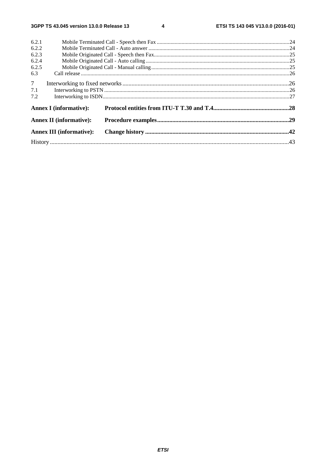$\overline{\mathbf{4}}$ 

| 6.2.1          |                                 |  |  |  |  |
|----------------|---------------------------------|--|--|--|--|
| 6.2.2          |                                 |  |  |  |  |
| 6.2.3          |                                 |  |  |  |  |
| 6.2.4          |                                 |  |  |  |  |
| 6.2.5          |                                 |  |  |  |  |
| 6.3            |                                 |  |  |  |  |
| 7 <sup>7</sup> |                                 |  |  |  |  |
| 7.1            |                                 |  |  |  |  |
| 7.2            |                                 |  |  |  |  |
|                | <b>Annex I</b> (informative):   |  |  |  |  |
|                | <b>Annex II (informative):</b>  |  |  |  |  |
|                | <b>Annex III (informative):</b> |  |  |  |  |
|                |                                 |  |  |  |  |
|                |                                 |  |  |  |  |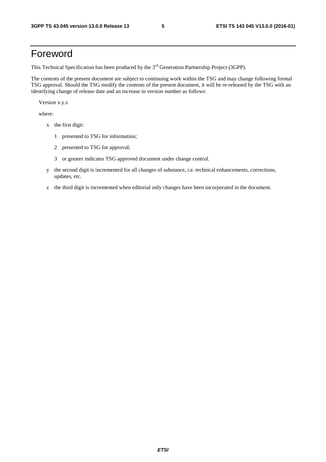## Foreword

This Technical Specification has been produced by the 3<sup>rd</sup> Generation Partnership Project (3GPP).

The contents of the present document are subject to continuing work within the TSG and may change following formal TSG approval. Should the TSG modify the contents of the present document, it will be re-released by the TSG with an identifying change of release date and an increase in version number as follows:

Version x.y.z

where:

- x the first digit:
	- 1 presented to TSG for information;
	- 2 presented to TSG for approval;
	- 3 or greater indicates TSG approved document under change control.
- y the second digit is incremented for all changes of substance, i.e. technical enhancements, corrections, updates, etc.
- z the third digit is incremented when editorial only changes have been incorporated in the document.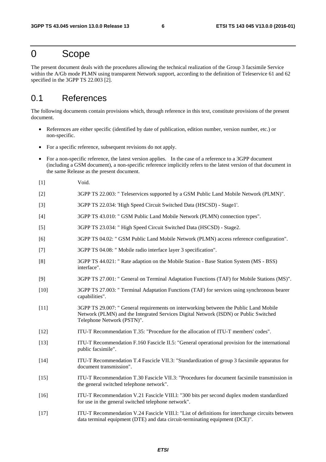## 0 Scope

The present document deals with the procedures allowing the technical realization of the Group 3 facsimile Service within the A/Gb mode PLMN using transparent Network support, according to the definition of Teleservice 61 and 62 specified in the 3GPP TS 22.003 [2].

## 0.1 References

The following documents contain provisions which, through reference in this text, constitute provisions of the present document.

- References are either specific (identified by date of publication, edition number, version number, etc.) or non-specific.
- For a specific reference, subsequent revisions do not apply.
- For a non-specific reference, the latest version applies. In the case of a reference to a 3GPP document (including a GSM document), a non-specific reference implicitly refers to the latest version of that document in the same Release as the present document.
- [1] Void.
- [2] 3GPP TS 22.003: " Teleservices supported by a GSM Public Land Mobile Network (PLMN)".
- [3] 3GPP TS 22.034: 'High Speed Circuit Switched Data (HSCSD) Stage1'.
- [4] 3GPP TS 43.010: " GSM Public Land Mobile Network (PLMN) connection types".
- [5] 3GPP TS 23.034: " High Speed Circuit Switched Data (HSCSD) Stage2.
- [6] 3GPP TS 04.02: " GSM Public Land Mobile Network (PLMN) access reference configuration".
- [7] 3GPP TS 04.08: " Mobile radio interface layer 3 specification".
- [8] 3GPP TS 44.021: " Rate adaption on the Mobile Station Base Station System (MS BSS) interface".
- [9] 3GPP TS 27.001: " General on Terminal Adaptation Functions (TAF) for Mobile Stations (MS)".
- [10] 3GPP TS 27.003: " Terminal Adaptation Functions (TAF) for services using synchronous bearer capabilities".
- [11] 3GPP TS 29.007: " General requirements on interworking between the Public Land Mobile Network (PLMN) and the Integrated Services Digital Network (ISDN) or Public Switched Telephone Network (PSTN)".
- [12] ITU-T Recommendation T.35: "Procedure for the allocation of ITU-T members' codes".
- [13] ITU-T Recommendation F.160 Fascicle II.5: "General operational provision for the international public facsimile".
- [14] ITU-T Recommendation T.4 Fascicle VII.3: "Standardization of group 3 facsimile apparatus for document transmission".
- [15] ITU-T Recommendation T.30 Fascicle VII.3: "Procedures for document facsimile transmission in the general switched telephone network".
- [16] ITU-T Recommendation V.21 Fascicle VIII.l: "300 bits per second duplex modem standardized for use in the general switched telephone network".
- [17] ITU-T Recommendation V.24 Fascicle VIII.l: "List of definitions for interchange circuits between data terminal equipment (DTE) and data circuit-terminating equipment (DCE)".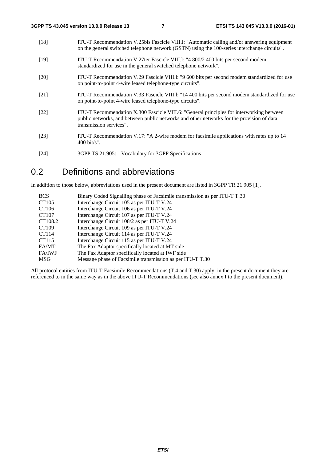| $[18]$             | ITU-T Recommendation V.25bis Fascicle VIII.1: "Automatic calling and/or answering equipment<br>on the general switched telephone network (GSTN) using the 100-series interchange circuits".                      |
|--------------------|------------------------------------------------------------------------------------------------------------------------------------------------------------------------------------------------------------------|
| $[19]$             | ITU-T Recommendation V.27ter Fascicle VIII.1: "4 800/2 400 bits per second modem<br>standardized for use in the general switched telephone network".                                                             |
| $\lceil 20 \rceil$ | ITU-T Recommendation V.29 Fascicle VIII.1: "9 600 bits per second modem standardized for use<br>on point-to-point 4-wire leased telephone-type circuits".                                                        |
| [21]               | ITU-T Recommendation V.33 Fascicle VIII.1: "14 400 bits per second modem standardized for use<br>on point-to-point 4-wire leased telephone-type circuits".                                                       |
| [22]               | ITU-T Recommendation X.300 Fascicle VIII.6: "General principles for interworking between<br>public networks, and between public networks and other networks for the provision of data<br>transmission services". |
| [23]               | ITU-T Recommendation V.17: "A 2-wire modem for facsimile applications with rates up to 14<br>$400 \text{ bit/s}$ ".                                                                                              |

[24] 3GPP TS 21.905: " Vocabulary for 3GPP Specifications "

## 0.2 Definitions and abbreviations

In addition to those below, abbreviations used in the present document are listed in 3GPP TR 21.905 [1].

| <b>BCS</b>    | Binary Coded Signalling phase of Facsimile transmission as per ITU-T T.30 |
|---------------|---------------------------------------------------------------------------|
| CT105         | Interchange Circuit 105 as per ITU-T V.24                                 |
| CT106         | Interchange Circuit 106 as per ITU-T V.24                                 |
| CT107         | Interchange Circuit 107 as per ITU-T V.24                                 |
| CT108.2       | Interchange Circuit 108/2 as per ITU-T V.24                               |
| CT109         | Interchange Circuit 109 as per ITU-T V.24                                 |
| CT114         | Interchange Circuit 114 as per ITU-T V.24                                 |
| CT115         | Interchange Circuit 115 as per ITU-T V.24                                 |
| FA/MT         | The Fax Adaptor specifically located at MT side                           |
| <b>FA/IWF</b> | The Fax Adaptor specifically located at IWF side                          |
| MSG           | Message phase of Facsimile transmission as per ITU-T T.30                 |

All protocol entities from ITU-T Facsimile Recommendations (T.4 and T.30) apply; in the present document they are referenced to in the same way as in the above ITU-T Recommendations (see also annex I to the present document).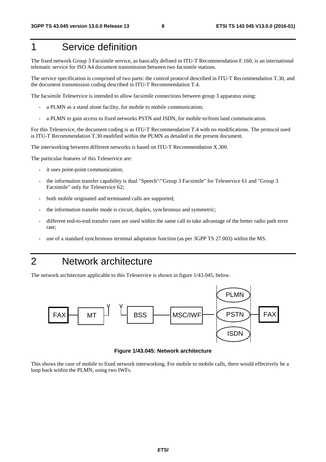## 1 Service definition

The fixed network Group 3 Facsimile service, as basically defined in ITU-T Recommendation F.160, is an international telematic service for ISO A4 document transmission between two facsimile stations.

The service specification is comprised of two parts: the control protocol described in ITU-T Recommendation T.30, and the document transmission coding described in ITU-T Recommendation T.4.

The facsimile Teleservice is intended to allow facsimile connections between group 3 apparatus using:

- a PLMN as a stand alone facility, for mobile to mobile communication;
- a PLMN to gain access to fixed networks PSTN and ISDN, for mobile to/from land communication.

For this Teleservice, the document coding is as ITU-T Recommendation T.4 with no modifications. The protocol used is ITU-T Recommendation T.30 modified within the PLMN as detailed in the present document.

The interworking between different networks is based on ITU-T Recommendation X.300.

The particular features of this Teleservice are:

- it uses point-point communication;
- the information transfer capability is dual "Speech"/"Group 3 Facsimile" for Teleservice 61 and "Group 3 Facsimile" only for Teleservice 62;
- both mobile originated and terminated calls are supported;
- the information transfer mode is circuit, duplex, synchronous and symmetric;
- different end-to-end transfer rates are used within the same call to take advantage of the better radio path error rate;
- use of a standard synchronous terminal adaptation function (as per 3GPP TS 27.003) within the MS.

## 2 Network architecture

The network architecture applicable to this Teleservice is shown in figure 1/43.045, below.



**Figure 1/43.045: Network architecture** 

This shows the case of mobile to fixed network interworking. For mobile to mobile calls, there would effectively be a loop back within the PLMN, using two IWFs.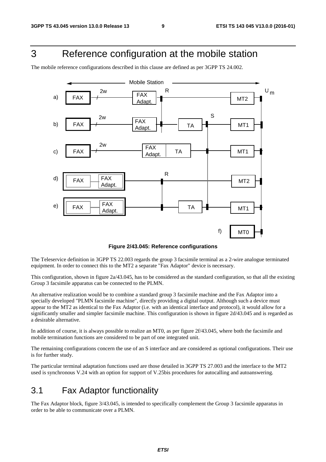## 3 Reference configuration at the mobile station

The mobile reference configurations described in this clause are defined as per 3GPP TS 24.002.



**Figure 2/43.045: Reference configurations** 

The Teleservice definition in 3GPP TS 22.003 regards the group 3 facsimile terminal as a 2-wire analogue terminated equipment. In order to connect this to the MT2 a separate "Fax Adaptor" device is necessary.

This configuration, shown in figure 2a/43.045, has to be considered as the standard configuration, so that all the existing Group 3 facsimile apparatus can be connected to the PLMN.

An alternative realization would be to combine a standard group 3 facsimile machine and the Fax Adaptor into a specially developed "PLMN facsimile machine", directly providing a digital output. Although such a device must appear to the MT2 as identical to the Fax Adaptor (i.e. with an identical interface and protocol), it would allow for a significantly smaller and simpler facsimile machine. This configuration is shown in figure 2d/43.045 and is regarded as a desirable alternative.

In addition of course, it is always possible to realize an MT0, as per figure 2f/43.045, where both the facsimile and mobile termination functions are considered to be part of one integrated unit.

The remaining configurations concern the use of an S interface and are considered as optional configurations. Their use is for further study.

The particular terminal adaptation functions used are those detailed in 3GPP TS 27.003 and the interface to the MT2 used is synchronous V.24 with an option for support of V.25bis procedures for autocalling and autoanswering.

## 3.1 Fax Adaptor functionality

The Fax Adaptor block, figure 3/43.045, is intended to specifically complement the Group 3 facsimile apparatus in order to be able to communicate over a PLMN.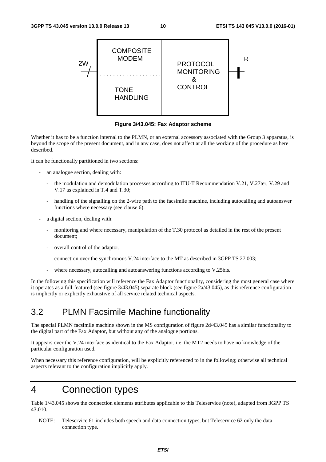

**Figure 3/43.045: Fax Adaptor scheme** 

Whether it has to be a function internal to the PLMN, or an external accessory associated with the Group 3 apparatus, is beyond the scope of the present document, and in any case, does not affect at all the working of the procedure as here described.

It can be functionally partitioned in two sections:

- an analogue section, dealing with:
	- the modulation and demodulation processes according to ITU-T Recommendation V.21, V.27ter, V.29 and V.17 as explained in T.4 and T.30;
	- handling of the signalling on the 2-wire path to the facsimile machine, including autocalling and autoanswer functions where necessary (see clause 6).
- a digital section, dealing with:
	- monitoring and where necessary, manipulation of the T.30 protocol as detailed in the rest of the present document;
	- overall control of the adaptor;
	- connection over the synchronous V.24 interface to the MT as described in 3GPP TS 27.003;
	- where necessary, autocalling and autoanswering functions according to V.25bis.

In the following this specification will reference the Fax Adaptor functionality, considering the most general case where it operates as a full-featured (see figure 3/43.045) separate block (see figure 2a/43.045), as this reference configuration is implicitly or explicitly exhaustive of all service related technical aspects.

## 3.2 PLMN Facsimile Machine functionality

The special PLMN facsimile machine shown in the MS configuration of figure 2d/43.045 has a similar functionality to the digital part of the Fax Adaptor, but without any of the analogue portions.

It appears over the V.24 interface as identical to the Fax Adaptor, i.e. the MT2 needs to have no knowledge of the particular configuration used.

When necessary this reference configuration, will be explicitly referenced to in the following; otherwise all technical aspects relevant to the configuration implicitly apply.

## 4 Connection types

Table 1/43.045 shows the connection elements attributes applicable to this Teleservice (note), adapted from 3GPP TS 43.010.

NOTE: Teleservice 61 includes both speech and data connection types, but Teleservice 62 only the data connection type.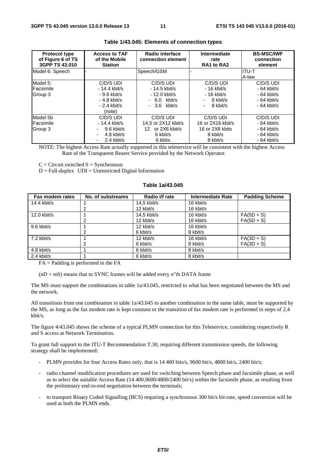| <b>Protocol type</b><br>of Figure 6 of TS<br>3GPP TS 43.010 | <b>Access to TAF</b><br>of the Mobile<br><b>Station</b> | Radio interface<br>connection element | Intermediate<br>rate<br>RA1 to RA2 | <b>BS-MSC/IWF</b><br>connection<br>element |
|-------------------------------------------------------------|---------------------------------------------------------|---------------------------------------|------------------------------------|--------------------------------------------|
| Model 6: Speech                                             |                                                         | Speech/GSM                            |                                    | IITU-T                                     |
|                                                             |                                                         |                                       |                                    | A-law                                      |
| Model 5:                                                    | C/D/S UDI                                               | C/D/S UDI                             | C/D/S UDI                          | C/D/S UDI                                  |
| Facsimile                                                   | $-14.4$ kbit/s                                          | - 14.5 kbit/s                         | $-16$ kbit/s                       | $-64$ kbit/s                               |
| Group 3                                                     | - 9.6 kbit/s                                            | - 12.0 kbit/s                         | $-16$ kbit/s                       | $-64$ kbit/s                               |
|                                                             | $-4.8$ kbit/s                                           | $-6.0$ kbit/s                         | 8 kbit/s                           | $-64$ kbit/s                               |
|                                                             | $-2.4$ kbit/s                                           | $-3.6$ kbit/s                         | 8 kbit/s                           | $-64$ kbit/s                               |
|                                                             | (note)                                                  |                                       |                                    |                                            |
| Model 5b                                                    | C/D/S UDI                                               | C/D/S UDI                             | C/D/S UDI                          | C/D/S UDI                                  |
| Facsimile                                                   | - 14.4 kbit/s                                           | 14,5 or 2X12 kbit/s                   | 16 or 2X16 kbit/s                  | $-64$ kbit/s                               |
| Group 3                                                     | $9.6$ kbit/s                                            | 12 or 2X6 kbit/s                      | 16 or 2X8 kbits                    | $-64$ kbit/s                               |
|                                                             | 4.8 kbit/s                                              | 6 kbit/s                              | 8 kbit/s                           | $-64$ kbit/s                               |
|                                                             | 2.4 kbit/s<br>Ξ.                                        | 6 kbits                               | 8 kbit/s                           | - 64 kbit/s                                |

#### **Table 1/43.045: Elements of connection types**

NOTE: The highest Access Rate actually supported in this teleservice will be consistent with the highest Access Rate of the Transparent Bearer Service provided by the Network Operator.

 $C =$  Circuit switched  $S =$  Synchronous

 $D = Full-duplex$   $UDI = Unrestricted Digital Information$ 

#### **Table 1a/43.045**

| Fax modem rates | No. of substreams | Radio i/f rate | <b>Intermediate Rate</b> | <b>Padding Scheme</b> |
|-----------------|-------------------|----------------|--------------------------|-----------------------|
| 14.4 kbit/s     |                   | $14.5$ kbit/s  | 16 kbit/s                |                       |
|                 |                   | 12 kbit/s      | 16 kbit/s                |                       |
| 12.0 kbit/s     |                   | $14.5$ kbit/s  | 16 kbit/s                | $FA(5D + S)$          |
|                 |                   | 12 kbit/s      | 16 kbit/s                | $FA(5D + S)$          |
| 9.6 kbit/s      |                   | 12 kbit/s      | 16 kbit/s                |                       |
|                 | 2                 | 6 kbit/s       | 8 kbit/s                 |                       |
| $7.2$ kbit/s    |                   | 12 kbit/s      | 16 kbit/s                | $FA(3D + S)$          |
|                 |                   | 6 kbit/s       | 8 kbit/s                 | $FA(3D + S)$          |
| 4.8 kbit/s      |                   | 6 kbit/s       | 8 kbit/s                 |                       |
| $2.4$ kbit/s    |                   | 6 kbit/s       | 8 kbit/s                 |                       |

 $FA =$  Padding is performed in the  $FA$ 

 $(nD + mS)$  means that m SYNC frames will be added every n"th DATA frame

The MS must support the combinations in table 1a/43.045, restricted to what has been negotiated between the MS and the network.

All transitions from one combination in table 1a/43.045 to another combination in the same table, must be supported by the MS, as long as the fax modem rate is kept constant or the transition of fax modem rate is performed in steps of 2,4 kbit/s.

The figure 4/43.045 shows the scheme of a typical PLMN connection for this Teleservice, considering respectively R and S access at Network Termination.

To grant full support to the ITU-T Recommendation T.30, requiring different transmission speeds, the following strategy shall be implemented:

- PLMN provides for four Access Rates only, that is 14 400 bits/s, 9600 bit/s, 4800 bit/s, 2400 bit/s;
- radio channel modification procedures are used for switching between Speech phase and facsimile phase, as well as to select the suitable Access Rate (14 400,9600/4800/2400 bit/s) within the facsimile phase, as resulting from the preliminary end-to-end negotiation between the terminals;
- to transport Binary Coded Signalling (BCS) requiring a synchronous 300 bit/s bit-rate, speed conversion will be used at both the PLMN ends.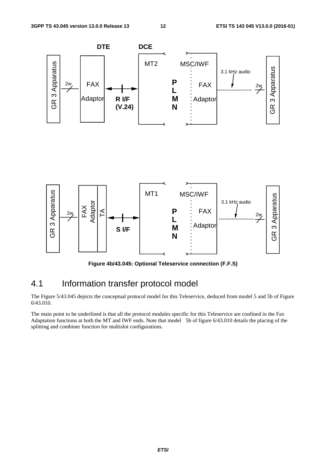

**Figure 4b/43.045: Optional Teleservice connection (F.F.S)** 

## 4.1 Information transfer protocol model

The Figure 5/43.045 depicts the conceptual protocol model for this Teleservice, deduced from model 5 and 5b of Figure 6/43.010.

The main point to be underlined is that all the protocol modules specific for this Teleservice are confined in the Fax Adaptation functions at both the MT and IWF ends. Note that model 5b of figure 6/43.010 details the placing of the splitting and combiner function for multislot configurations.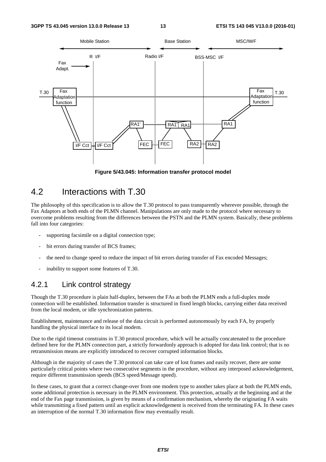

**Figure 5/43.045: Information transfer protocol model** 

## 4.2 Interactions with T.30

The philosophy of this specification is to allow the T.30 protocol to pass transparently wherever possible, through the Fax Adaptors at both ends of the PLMN channel. Manipulations are only made to the protocol where necessary to overcome problems resulting from the differences between the PSTN and the PLMN system. Basically, these problems fall into four categories:

- supporting facsimile on a digital connection type;
- bit errors during transfer of BCS frames:
- the need to change speed to reduce the impact of bit errors during transfer of Fax encoded Messages;
- inability to support some features of T.30.

### 4.2.1 Link control strategy

Though the T.30 procedure is plain half-duplex, between the FAs at both the PLMN ends a full-duplex mode connection will be established. Information transfer is structured in fixed length blocks, carrying either data received from the local modem, or idle synchronization patterns.

Establishment, maintenance and release of the data circuit is performed autonomously by each FA, by properly handling the physical interface to its local modem.

Due to the rigid timeout constrains in T.30 protocol procedure, which will be actually concatenated to the procedure defined here for the PLMN connection part, a strictly forwardonly approach is adopted for data link control; that is no retransmission means are explicitly introduced to recover corrupted information blocks.

Although in the majority of cases the T.30 protocol can take care of lost frames and easily recover, there are some particularly critical points where two consecutive segments in the procedure, without any interposed acknowledgement, require different transmission speeds (BCS speed/Message speed).

In these cases, to grant that a correct change-over from one modem type to another takes place at both the PLMN ends, some additional protection is necessary in the PLMN environment. This protection, actually at the beginning and at the end of the Fax page transmission, is given by means of a confirmation mechanism, whereby the originating FA waits while transmitting a fixed pattern until an explicit acknowledgement is received from the terminating FA. In these cases an interruption of the normal T.30 information flow may eventually result.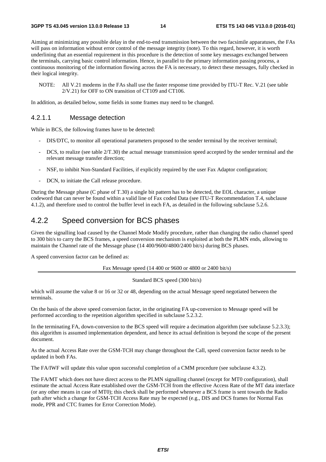Aiming at minimizing any possible delay in the end-to-end transmission between the two facsimile apparatuses, the FAs will pass on information without error control of the message integrity (note). To this regard, however, it is worth underlining that an essential requirement in this procedure is the detection of some key messages exchanged between the terminals, carrying basic control information. Hence, in parallel to the primary information passing process, a continuous monitoring of the information flowing across the FA is necessary, to detect these messages, fully checked in their logical integrity.

NOTE: All V.21 modems in the FAs shall use the faster response time provided by ITU-T Rec. V.21 (see table 2/V.21) for OFF to ON transition of CT109 and CT106.

In addition, as detailed below, some fields in some frames may need to be changed.

### 4.2.1.1 Message detection

While in BCS, the following frames have to be detected:

- DIS/DTC, to monitor all operational parameters proposed to the sender terminal by the receiver terminal;
- DCS, to realize (see table  $2/T.30$ ) the actual message transmission speed accepted by the sender terminal and the relevant message transfer direction;
- NSF, to inhibit Non-Standard Facilities, if explicitly required by the user Fax Adaptor configuration;
- DCN, to initiate the Call release procedure.

During the Message phase (C phase of T.30) a single bit pattern has to be detected, the EOL character, a unique codeword that can never be found within a valid line of Fax coded Data (see ITU-T Recommendation T.4, subclause 4.1.2), and therefore used to control the buffer level in each FA, as detailed in the following subclause 5.2.6.

### 4.2.2 Speed conversion for BCS phases

Given the signalling load caused by the Channel Mode Modify procedure, rather than changing the radio channel speed to 300 bit/s to carry the BCS frames, a speed conversion mechanism is exploited at both the PLMN ends, allowing to maintain the Channel rate of the Message phase (14 400/9600/4800/2400 bit/s) during BCS phases.

A speed conversion factor can be defined as:

Fax Message speed (14 400 or 9600 or 4800 or 2400 bit/s)

Standard BCS speed (300 bit/s)

which will assume the value 8 or 16 or 32 or 48, depending on the actual Message speed negotiated between the terminals.

On the basis of the above speed conversion factor, in the originating FA up-conversion to Message speed will be performed according to the repetition algorithm specified in subclause 5.2.3.2.

In the terminating FA, down-conversion to the BCS speed will require a decimation algorithm (see subclause 5.2.3.3); this algorithm is assumed implementation dependent, and hence its actual definition is beyond the scope of the present document.

As the actual Access Rate over the GSM-TCH may change throughout the Call, speed conversion factor needs to be updated in both FAs.

The FA/IWF will update this value upon successful completion of a CMM procedure (see subclause 4.3.2).

The FA/MT which does not have direct access to the PLMN signalling channel (except for MT0 configuration), shall estimate the actual Access Rate established over the GSM-TCH from the effective Access Rate of the MT data interface (or any other means in case of MT0); this check shall be performed whenever a BCS frame is sent towards the Radio path after which a change for GSM-TCH Access Rate may be expected (e.g., DIS and DCS frames for Normal Fax mode, PPR and CTC frames for Error Correction Mode).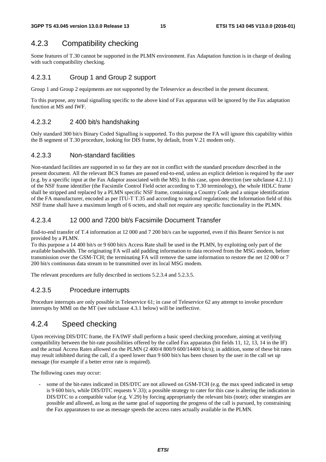## 4.2.3 Compatibility checking

Some features of T.30 cannot be supported in the PLMN environment. Fax Adaptation function is in charge of dealing with such compatibility checking.

### 4.2.3.1 Group 1 and Group 2 support

Group 1 and Group 2 equipments are not supported by the Teleservice as described in the present document.

To this purpose, any tonal signalling specific to the above kind of Fax apparatus will be ignored by the Fax adaptation function at MS and IWF.

### 4.2.3.2 2 400 bit/s handshaking

Only standard 300 bit/s Binary Coded Signalling is supported. To this purpose the FA will ignore this capability within the B segment of T.30 procedure, looking for DIS frame, by default, from V.21 modem only.

### 4.2.3.3 Non-standard facilities

Non-standard facilities are supported in so far they are not in conflict with the standard procedure described in the present document. All the relevant BCS frames are passed end-to-end, unless an explicit deletion is required by the user (e.g. by a specific input at the Fax Adaptor associated with the MS). In this case, upon detection (see subclause 4.2.1.1) of the NSF frame identifier (the Facsimile Control Field octet according to T.30 terminology), the whole HDLC frame shall be stripped and replaced by a PLMN specific NSF frame, containing a Country Code and a unique identification of the FA manufacturer, encoded as per ITU-T T.35 and according to national regulations; the Information field of this NSF frame shall have a maximum length of 6 octets, and shall not require any specific functionality in the PLMN.

### 4.2.3.4 12 000 and 7200 bit/s Facsimile Document Transfer

End-to-end transfer of T.4 information at 12 000 and 7 200 bit/s can be supported, even if this Bearer Service is not provided by a PLMN.

To this purpose a 14 400 bit/s or 9 600 bit/s Access Rate shall be used in the PLMN, by exploiting only part of the available bandwidth. The originating FA will add padding information to data received from the MSG modem, before transmission over the GSM-TCH; the terminating FA will remove the same information to restore the net 12 000 or 7 200 bit/s continuous data stream to be transmitted over its local MSG modem.

The relevant procedures are fully described in sections 5.2.3.4 and 5.2.3.5.

### 4.2.3.5 Procedure interrupts

Procedure interrupts are only possible in Teleservice 61; in case of Teleservice 62 any attempt to invoke procedure interrupts by MMI on the MT (see subclause 4.3.1 below) will be ineffective.

### 4.2.4 Speed checking

Upon receiving DIS/DTC frame, the FA/IWF shall perform a basic speed checking procedure, aiming at verifying compatibility between the bit-rate possibilities offered by the called Fax apparatus (bit fields 11, 12, 13, 14 in the IF) and the actual Access Rates allowed on the PLMN (2 400/4 800/9 600/14400 bit/s); in addition, some of these bit rates may result inhibited during the call, if a speed lower than 9 600 bit/s has been chosen by the user in the call set up message (for example if a better error rate is required).

The following cases may occur:

some of the bit-rates indicated in DIS/DTC are not allowed on GSM-TCH (e.g. the max speed indicated in setup is 9 600 bit/s, while DIS/DTC requests V.33); a possible strategy to cater for this case is altering the indication in DIS/DTC to a compatible value (e.g. V.29) by forcing appropriately the relevant bits (note); other strategies are possible and allowed, as long as the same goal of supporting the progress of the call is pursued, by constraining the Fax apparatuses to use as message speeds the access rates actually available in the PLMN.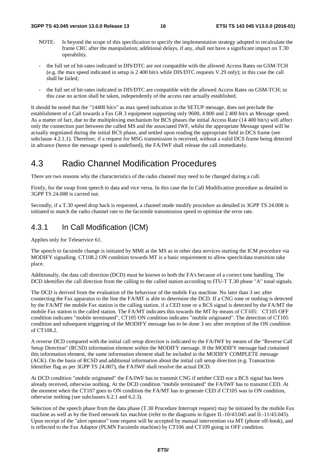- NOTE: Is beyond the scope of this specification to specify the implementation strategy adopted to recalculate the frame CRC after the manipulation; additional delays, if any, shall not have a significant impact on T.30 operability.
- the full set of bit-rates indicated in DIS/DTC are not compatible with the allowed Access Rates on GSM-TCH (e.g. the max speed indicated in setup is 2 400 bit/s while DIS/DTC requests V.29 only); in this case the call shall be failed;
- the full set of bit-rates indicated in DIS/DTC are compatible with the allowed Access Rates on GSM-TCH; in this case no action shall be taken, independently of the access rate actually established.

It should be noted that the "14400 bit/s" as max speed indication in the SETUP message, does not preclude the establishment of a Call towards a Fax GR 3 equipment supporting only 9600, 4 800 and 2 400 bit/s as Message speed. As a matter of fact, due to the multiplexing mechanism for BCS phases the initial Access Rate (14 400 bit/s) will affect only the connection part between the called MS and the associated IWF, whilst the appropriate Message speed will be actually negotiated during the initial BCS phase, and settled upon reading the appropriate field in DCS frame (see subclause 4.2.1.1). Therefore, if a request for MSG transmission is received, without a valid DCS frame being detected in advance (hence the message speed is undefined), the FA/IWF shall release the call immediately.

## 4.3 Radio Channel Modification Procedures

There are two reasons why the characteristics of the radio channel may need to be changed during a call.

Firstly, for the swap from speech to data and vice versa. In this case the In Call Modification procedure as detailed in 3GPP TS 24.008 is carried out.

Secondly, if a T.30 speed drop back is requested, a channel mode modify procedure as detailed in 3GPP TS 24.008 is initiated to match the radio channel rate to the facsimile transmission speed to optimize the error rate.

### 4.3.1 In Call Modification (ICM)

Applies only for Teleservice 61.

The speech to facsimile change is initiated by MMI at the MS as in other data services starting the ICM procedure via MODIFY signalling. CT108.2 ON condition towards MT is a basic requirement to allow speech/data transition take place.

Additionally, the data call direction (DCD) must be known to both the FA's because of a correct tone handling. The DCD identifies the call direction from the calling to the called station according to ITU-T T.30 phase "A" tonal signals.

The DCD is derived from the evaluation of the behaviour of the mobile Fax machine. No later than 3 sec after connecting the Fax apparatus to the line the FA/MT is able to determine the DCD. If a CNG tone or nothing is detected by the FA/MT the mobile Fax station is the calling station, if a CED tone or a BCS signal is detected by the FA/MT the mobile Fax station is the called station. The FA/MT indicates this towards the MT by means of CT105: CT105 OFF condition indicates "mobile terminated", CT105 ON condition indicates "mobile originated". The detection of CT105 condition and subsequent triggering of the MODIFY message has to be done 3 sec after reception of the ON condition of CT108.2.

A reverse DCD compared with the initial call setup direction is indicated to the FA/IWF by means of the "Reverse Call Setup Direction" (RCSD) information element within the MODIFY message. If the MODIFY message had contained this information element, the same information element shall be included in the MODIFY COMPLETE message (ACK). On the basis of RCSD and additional information about the initial call setup direction (e.g. Transaction Identifier flag as per 3GPP TS 24.007), the FA/IWF shall resolve the actual DCD.

At DCD condition "mobile originated" the FA/IWF has to transmit CNG if neither CED nor a BCS signal has been already received, otherwise nothing. At the DCD condition "mobile terminated" the FA/IWF has to transmit CED. At the moment when the CT107 goes to ON condition the FA/MT has to generate CED if CT105 was in ON condition, otherwise nothing (see subclauses 6.2.1 and 6.2.3).

Selection of the speech phase from the data phase (T.30 Procedure Interrupt request) may be initiated by the mobile Fax machine as well as by the fixed network fax machine (refer to the diagrams in figure II.-10/43.045 and II.-11/43.045). Upon receipt of the "alert operator" tone request will be accepted by manual intervention via MT (phone off-hook), and is reflected to the Fax Adaptor (PLMN Facsimile machine) by CT106 and CT109 going in OFF condition.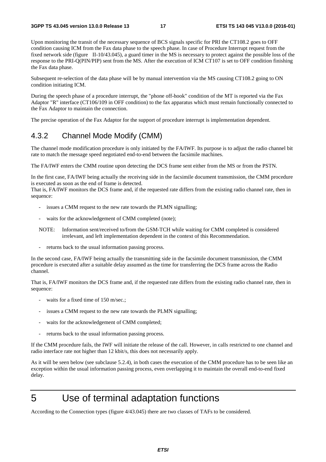Upon monitoring the transit of the necessary sequence of BCS signals specific for PRI the CT108.2 goes to OFF condition causing ICM from the Fax data phase to the speech phase. In case of Procedure Interrupt request from the fixed network side (figure II-10/43.045), a guard timer in the MS is necessary to protect against the possible loss of the response to the PRI-Q(PIN/PIP) sent from the MS. After the execution of ICM CT107 is set to OFF condition finishing the Fax data phase.

Subsequent re-selection of the data phase will be by manual intervention via the MS causing CT108.2 going to ON condition initiating ICM.

During the speech phase of a procedure interrupt, the "phone off-hook" condition of the MT is reported via the Fax Adaptor "R" interface (CT106/109 in OFF condition) to the fax apparatus which must remain functionally connected to the Fax Adaptor to maintain the connection.

The precise operation of the Fax Adaptor for the support of procedure interrupt is implementation dependent.

### 4.3.2 Channel Mode Modify (CMM)

The channel mode modification procedure is only initiated by the FA/IWF. Its purpose is to adjust the radio channel bit rate to match the message speed negotiated end-to-end between the facsimile machines.

The FA/IWF enters the CMM routine upon detecting the DCS frame sent either from the MS or from the PSTN.

In the first case, FA/IWF being actually the receiving side in the facsimile document transmission, the CMM procedure is executed as soon as the end of frame is detected.

That is, FA/IWF monitors the DCS frame and, if the requested rate differs from the existing radio channel rate, then in sequence:

- issues a CMM request to the new rate towards the PLMN signalling;
- waits for the acknowledgement of CMM completed (note);
- NOTE: Information sent/received to/from the GSM-TCH while waiting for CMM completed is considered irrelevant, and left implementation dependent in the context of this Recommendation.
- returns back to the usual information passing process.

In the second case, FA/IWF being actually the transmitting side in the facsimile document transmission, the CMM procedure is executed after a suitable delay assumed as the time for transferring the DCS frame across the Radio channel.

That is, FA/IWF monitors the DCS frame and, if the requested rate differs from the existing radio channel rate, then in sequence:

- waits for a fixed time of 150 m/sec.;
- issues a CMM request to the new rate towards the PLMN signalling;
- waits for the acknowledgement of CMM completed;
- returns back to the usual information passing process.

If the CMM procedure fails, the IWF will initiate the release of the call. However, in calls restricted to one channel and radio interface rate not higher than 12 kbit/s, this does not necessarily apply.

As it will be seen below (see subclause 5.2.4), in both cases the execution of the CMM procedure has to be seen like an exception within the usual information passing process, even overlapping it to maintain the overall end-to-end fixed delay.

## 5 Use of terminal adaptation functions

According to the Connection types (figure 4/43.045) there are two classes of TAFs to be considered.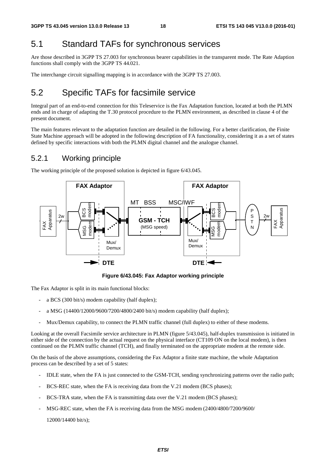## 5.1 Standard TAFs for synchronous services

Are those described in 3GPP TS 27.003 for synchronous bearer capabilities in the transparent mode. The Rate Adaption functions shall comply with the 3GPP TS 44.021.

The interchange circuit signalling mapping is in accordance with the 3GPP TS 27.003.

## 5.2 Specific TAFs for facsimile service

Integral part of an end-to-end connection for this Teleservice is the Fax Adaptation function, located at both the PLMN ends and in charge of adapting the T.30 protocol procedure to the PLMN environment, as described in clause 4 of the present document.

The main features relevant to the adaptation function are detailed in the following. For a better clarification, the Finite State Machine approach will be adopted in the following description of FA functionality, considering it as a set of states defined by specific interactions with both the PLMN digital channel and the analogue channel.

### 5.2.1 Working principle

The working principle of the proposed solution is depicted in figure 6/43.045.



**Figure 6/43.045: Fax Adaptor working principle** 

The Fax Adaptor is split in its main functional blocks:

- a BCS (300 bit/s) modem capability (half duplex);
- a MSG (14400/12000/9600/7200/4800/2400 bit/s) modem capability (half duplex);
- Mux/Demux capability, to connect the PLMN traffic channel (full duplex) to either of these modems.

Looking at the overall Facsimile service architecture in PLMN (figure 5/43.045), half-duplex transmission is initiated in either side of the connection by the actual request on the physical interface (CT109 ON on the local modem), is then continued on the PLMN traffic channel (TCH), and finally terminated on the appropriate modem at the remote side.

On the basis of the above assumptions, considering the Fax Adaptor a finite state machine, the whole Adaptation process can be described by a set of 5 states:

- IDLE state, when the FA is just connected to the GSM-TCH, sending synchronizing patterns over the radio path;
- BCS-REC state, when the FA is receiving data from the V.21 modem (BCS phases);
- BCS-TRA state, when the FA is transmitting data over the V.21 modem (BCS phases);
- MSG-REC state, when the FA is receiving data from the MSG modem (2400/4800/7200/9600/

12000/14400 bit/s);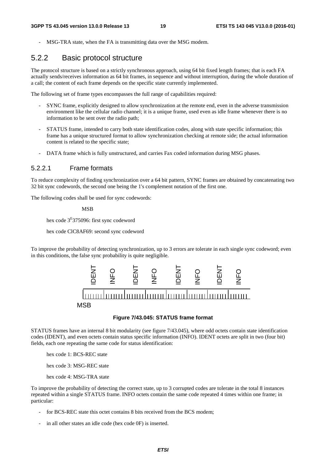MSG-TRA state, when the FA is transmitting data over the MSG modem.

### 5.2.2 Basic protocol structure

The protocol structure is based on a strictly synchronous approach, using 64 bit fixed length frames; that is each FA actually sends/receives information as 64 bit frames, in sequence and without interruption, during the whole duration of a call; the content of each frame depends on the specific state currently implemented.

The following set of frame types encompasses the full range of capabilities required:

- SYNC frame, explicitly designed to allow synchronization at the remote end, even in the adverse transmission environment like the cellular radio channel; it is a unique frame, used even as idle frame whenever there is no information to be sent over the radio path;
- STATUS frame, intended to carry both state identification codes, along with state specific information; this frame has a unique structured format to allow synchronization checking at remote side; the actual information content is related to the specific state;
- DATA frame which is fully unstructured, and carries Fax coded information during MSG phases.

#### 5.2.2.1 Frame formats

To reduce complexity of finding synchronization over a 64 bit pattern, SYNC frames are obtained by concatenating two 32 bit sync codewords, the second one being the 1's complement notation of the first one.

The following codes shall be used for sync codewords:

MSB

hex code 3<sup>E</sup>375096: first sync codeword

hex code ClC8AF69: second sync codeword

To improve the probability of detecting synchronization, up to 3 errors are tolerate in each single sync codeword; even in this conditions, the false sync probability is quite negligible.



#### **Figure 7/43.045: STATUS frame format**

STATUS frames have an internal 8 bit modularity (see figure 7/43.045), where odd octets contain state identification codes (IDENT), and even octets contain status specific information (INFO). IDENT octets are split in two (four bit) fields, each one repeating the same code for status identification:

hex code 1: BCS-REC state

hex code 3: MSG-REC state

hex code 4: MSG-TRA state

To improve the probability of detecting the correct state, up to 3 corrupted codes are tolerate in the total 8 instances repeated within a single STATUS frame. INFO octets contain the same code repeated 4 times within one frame; in particular:

- for BCS-REC state this octet contains 8 bits received from the BCS modem;
-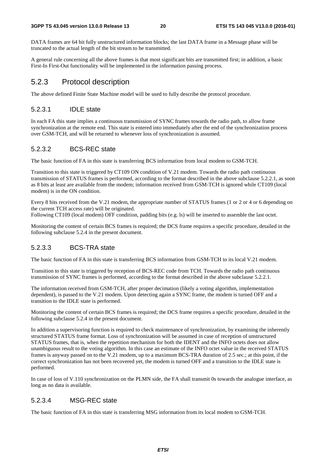DATA frames are 64 bit fully unstructured information blocks; the last DATA frame in a Message phase will be truncated to the actual length of the bit stream to be transmitted.

A general rule concerning all the above frames is that most significant bits are transmitted first; in addition, a basic First-In First-Out functionality will be implemented in the information passing process.

### 5.2.3 Protocol description

The above defined Finite State Machine model will be used to fully describe the protocol procedure.

### 5.2.3.1 IDLE state

In each FA this state implies a continuous transmission of SYNC frames towards the radio path, to allow frame synchronization at the remote end. This state is entered into immediately after the end of the synchronization process over GSM-TCH, and will be returned to whenever loss of synchronization is assumed.

### 5.2.3.2 BCS-REC state

The basic function of FA in this state is transferring BCS information from local modem to GSM-TCH.

Transition to this state is triggered by CT109 ON condition of V.21 modem. Towards the radio path continuous transmission of STATUS frames is performed, according to the format described in the above subclause 5.2.2.1, as soon as 8 bits at least are available from the modem; information received from GSM-TCH is ignored while CT109 (local modem) is in the ON condition.

Every 8 bits received from the V.21 modem, the appropriate number of STATUS frames (1 or 2 or 4 or 6 depending on the current TCH access rate) will be originated.

Following CT109 (local modem) OFF condition, padding bits (e.g. ls) will be inserted to assemble the last octet.

Monitoring the content of certain BCS frames is required; the DCS frame requires a specific procedure, detailed in the following subclause 5.2.4 in the present document.

### 5.2.3.3 BCS-TRA state

The basic function of FA in this state is transferring BCS information from GSM-TCH to its local V.21 modem.

Transition to this state is triggered by reception of BCS-REC code from TCH. Towards the radio path continuous transmission of SYNC frames is performed, according to the format described in the above subclause 5.2.2.1.

The information received from GSM-TCH, after proper decimation (likely a voting algorithm, implementation dependent), is passed to the V.21 modem. Upon detecting again a SYNC frame, the modem is turned OFF and a transition to the IDLE state is performed.

Monitoring the content of certain BCS frames is required; the DCS frame requires a specific procedure, detailed in the following subclause 5.2.4 in the present document.

In addition a supervisoring function is required to check maintenance of synchronization, by examining the inherently structured STATUS frame format. Loss of synchronization will be assumed in case of reception of unstructured STATUS frames, that is, when the repetition mechanism for both the IDENT and the INFO octets does not allow unambiguous result to the voting algorithm. In this case an estimate of the INFO octet value in the received STATUS frames is anyway passed on to the V.21 modem, up to a maximum BCS-TRA duration of 2.5 sec.; at this point, if the correct synchronization has not been recovered yet, the modem is turned OFF and a transition to the IDLE state is performed.

In case of loss of V.110 synchronization on the PLMN side, the FA shall transmit 0s towards the analogue interface, as long as no data is available.

### 5.2.3.4 MSG-REC state

The basic function of FA in this state is transferring MSG information from its local modem to GSM-TCH.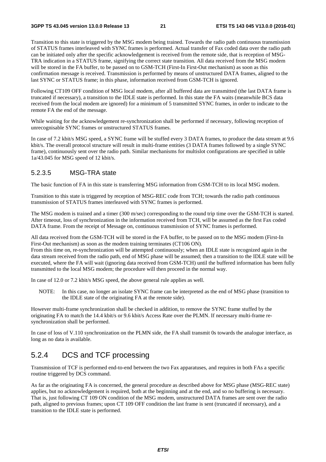Transition to this state is triggered by the MSG modem being trained. Towards the radio path continuous transmission of STATUS frames interleaved with SYNC frames is performed. Actual transfer of Fax coded data over the radio path can be initiated only after the specific acknowledgement is received from the remote side, that is reception of MSG-TRA indication in a STATUS frame, signifying the correct state transition. All data received from the MSG modem will be stored in the FA buffer, to be passed on to GSM-TCH (First-In First-Out mechanism) as soon as this confirmation message is received. Transmission is performed by means of unstructured DATA frames, aligned to the last SYNC or STATUS frame; in this phase, information received from GSM-TCH is ignored.

Following CT109 OFF condition of MSG local modem, after all buffered data are transmitted (the last DATA frame is truncated if necessary), a transition to the IDLE state is performed. In this state the FA waits (meanwhile BCS data received from the local modem are ignored) for a minimum of 5 transmitted SYNC frames, in order to indicate to the remote FA the end of the message.

While waiting for the acknowledgement re-synchronization shall be performed if necessary, following reception of unrecognisable SYNC frames or unstructured STATUS frames.

In case of 7.2 kbit/s MSG speed, a SYNC frame will be stuffed every 3 DATA frames, to produce the data stream at 9.6 kbit/s. The overall protocol structure will result in multi-frame entities (3 DATA frames followed by a single SYNC frame), continuously sent over the radio path. Similar mechanisms for multislot configurations are specified in table 1a/43.045 for MSG speed of 12 kbit/s.

### 5.2.3.5 MSG-TRA state

The basic function of FA in this state is transferring MSG information from GSM-TCH to its local MSG modem.

Transition to this state is triggered by reception of MSG-REC code from TCH; towards the radio path continuous transmission of STATUS frames interleaved with SYNC frames is performed.

The MSG modem is trained and a timer (300 m/sec) corresponding to the round trip time over the GSM-TCH is started. After timeout, loss of synchronization in the information received from TCH, will be assumed as the first Fax coded DATA frame. From the receipt of Message on, continuous transmission of SYNC frames is performed.

All data received from the GSM-TCH will be stored in the FA buffer, to be passed on to the MSG modem (First-In First-Out mechanism) as soon as the modem training terminates (CT106 ON).

From this time on, re-synchronization will be attempted continuously; when an IDLE state is recognized again in the data stream received from the radio path, end of MSG phase will be assumed; then a transition to the IDLE state will be executed, where the FA will wait (ignoring data received from GSM-TCH) until the buffered information has been fully transmitted to the local MSG modem; the procedure will then proceed in the normal way.

In case of 12.0 or 7.2 kbit/s MSG speed, the above general rule applies as well.

NOTE: In this case, no longer an isolate SYNC frame can be interpreted as the end of MSG phase (transition to the IDLE state of the originating FA at the remote side).

However multi-frame synchronization shall be checked in addition, to remove the SYNC frame stuffed by the originating FA to match the 14.4 kbit/s or 9.6 kbit/s Access Rate over the PLMN. If necessary multi-frame resynchronization shall be performed.

In case of loss of V.110 synchronization on the PLMN side, the FA shall transmit 0s towards the analogue interface, as long as no data is available.

### 5.2.4 DCS and TCF processing

Transmission of TCF is performed end-to-end between the two Fax apparatuses, and requires in both FAs a specific routine triggered by DCS command.

As far as the originating FA is concerned, the general procedure as described above for MSG phase (MSG-REC state) applies, but no acknowledgement is required, both at the beginning and at the end, and so no buffering is necessary. That is, just following CT 109 ON condition of the MSG modem, unstructured DATA frames are sent over the radio path, aligned to previous frames; upon CT 109 OFF condition the last frame is sent (truncated if necessary), and a transition to the IDLE state is performed.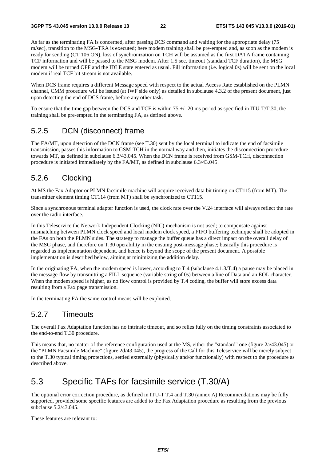As far as the terminating FA is concerned, after passing DCS command and waiting for the appropriate delay (75 m/sec), transition to the MSG-TRA is executed; here modem training shall be pre-empted and, as soon as the modem is ready for sending (CT 106 ON), loss of synchronization on TCH will be assumed as the first DATA frame containing TCF information and will be passed to the MSG modem. After 1.5 sec. timeout (standard TCF duration), the MSG modem will be turned OFF and the IDLE state entered as usual. Fill information (i.e. logical 0s) will be sent on the local modem if real TCF bit stream is not available.

When DCS frame requires a different Message speed with respect to the actual Access Rate established on the PLMN channel, CMM procedure will be issued (at IWF side only) as detailed in subclause 4.3.2 of the present document, just upon detecting the end of DCS frame, before any other task.

To ensure that the time gap between the DCS and TCF is within  $75 +/20$  ms period as specified in ITU-T/T.30, the training shall be pre-empted in the terminating FA, as defined above.

### 5.2.5 DCN (disconnect) frame

The FA/MT, upon detection of the DCN frame (see T.30) sent by the local terminal to indicate the end of facsimile transmission, passes this information to GSM-TCH in the normal way and then, initiates the disconnection procedure towards MT, as defined in subclause 6.3/43.045. When the DCN frame is received from GSM-TCH, disconnection procedure is initiated immediately by the FA/MT, as defined in subclause 6.3/43.045.

### 5.2.6 Clocking

At MS the Fax Adaptor or PLMN facsimile machine will acquire received data bit timing on CT115 (from MT). The transmitter element timing CT114 (from MT) shall be synchronized to CT115.

Since a synchronous terminal adapter function is used, the clock rate over the V.24 interface will always reflect the rate over the radio interface.

In this Teleservice the Network Independent Clocking (NIC) mechanism is not used; to compensate against mismatching between PLMN clock speed and local modem clock speed, a FIFO buffering technique shall be adopted in the FAs on both the PLMN sides. The strategy to manage the buffer queue has a direct impact on the overall delay of the MSG phase, and therefore on T.30 operability in the ensuing post-message phase; basically this procedure is regarded as implementation dependent, and hence is beyond the scope of the present document. A possible implementation is described below, aiming at minimizing the addition delay.

In the originating FA, when the modem speed is lower, according to T.4 (subclause 4.1.3/T.4) a pause may be placed in the message flow by transmitting a FILL sequence (variable string of 0s) between a line of Data and an EOL character. When the modem speed is higher, as no flow control is provided by T.4 coding, the buffer will store excess data resulting from a Fax page transmission.

In the terminating FA the same control means will be exploited.

### 5.2.7 Timeouts

The overall Fax Adaptation function has no intrinsic timeout, and so relies fully on the timing constraints associated to the end-to-end T.30 procedure.

This means that, no matter of the reference configuration used at the MS, either the "standard" one (figure 2a/43.045) or the "PLMN Facsimile Machine" (figure 2d/43.045), the progress of the Call for this Teleservice will be merely subject to the T.30 typical timing protections, settled externally (physically and/or functionally) with respect to the procedure as described above.

## 5.3 Specific TAFs for facsimile service (T.30/A)

The optional error correction procedure, as defined in ITU-T T.4 and T.30 (annex A) Recommendations may be fully supported, provided some specific features are added to the Fax Adaptation procedure as resulting from the previous subclause 5.2/43.045.

These features are relevant to: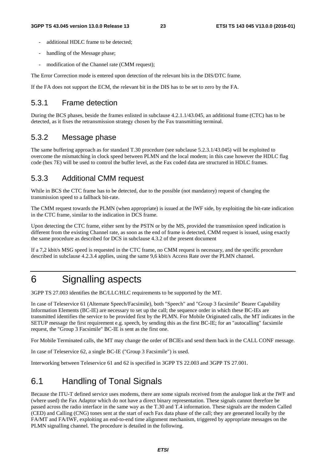- additional HDLC frame to be detected:
- handling of the Message phase;
- modification of the Channel rate (CMM request);

The Error Correction mode is entered upon detection of the relevant bits in the DIS/DTC frame.

If the FA does not support the ECM, the relevant bit in the DIS has to be set to zero by the FA.

### 5.3.1 Frame detection

During the BCS phases, beside the frames enlisted in subclause 4.2.1.1/43.045, an additional frame (CTC) has to be detected, as it fixes the retransmission strategy chosen by the Fax transmitting terminal.

### 5.3.2 Message phase

The same buffering approach as for standard T.30 procedure (see subclause 5.2.3.1/43.045) will be exploited to overcome the mismatching in clock speed between PLMN and the local modem; in this case however the HDLC flag code (hex 7E) will be used to control the buffer level, as the Fax coded data are structured in HDLC frames.

### 5.3.3 Additional CMM request

While in BCS the CTC frame has to be detected, due to the possible (not mandatory) request of changing the transmission speed to a fallback bit-rate.

The CMM request towards the PLMN (when appropriate) is issued at the IWF side, by exploiting the bit-rate indication in the CTC frame, similar to the indication in DCS frame.

Upon detecting the CTC frame, either sent by the PSTN or by the MS, provided the transmission speed indication is different from the existing Channel rate, as soon as the end of frame is detected, CMM request is issued, using exactly the same procedure as described for DCS in subclause 4.3.2 of the present document

If a 7,2 kbit/s MSG speed is requested in the CTC frame, no CMM request is necessary, and the specific procedure described in subclause 4.2.3.4 applies, using the same 9,6 kbit/s Access Rate over the PLMN channel.

## 6 Signalling aspects

3GPP TS 27.003 identifies the BC/LLC/HLC requirements to be supported by the MT.

In case of Teleservice 61 (Alternate Speech/Facsimile), both "Speech" and "Group 3 facsimile" Bearer Capability Information Elements (BC-IE) are necessary to set up the call; the sequence order in which these BC-IEs are transmitted identifies the service to be provided first by the PLMN. For Mobile Originated calls, the MT indicates in the SETUP message the first requirement e.g. speech, by sending this as the first BC-IE; for an "autocalling" facsimile request, the "Group 3 Facsimile" BC-IE is sent as the first one.

For Mobile Terminated calls, the MT may change the order of BCIEs and send them back in the CALL CONF message.

In case of Teleservice 62, a single BC-IE ("Group 3 Facsimile") is used.

Interworking between Teleservice 61 and 62 is specified in 3GPP TS 22.003 and 3GPP TS 27.001.

## 6.1 Handling of Tonal Signals

Because the ITU-T defined service uses modems, there are some signals received from the analogue link at the IWF and (where used) the Fax Adaptor which do not have a direct binary representation. These signals cannot therefore be passed across the radio interface in the same way as the T.30 and T.4 information. These signals are the modem Called (CED) and Calling (CNG) tones sent at the start of each Fax data phase of the call; they are generated locally by the FA/MT and FA/IWF, exploiting an end-to-end time alignment mechanism, triggered by appropriate messages on the PLMN signalling channel. The procedure is detailed in the following.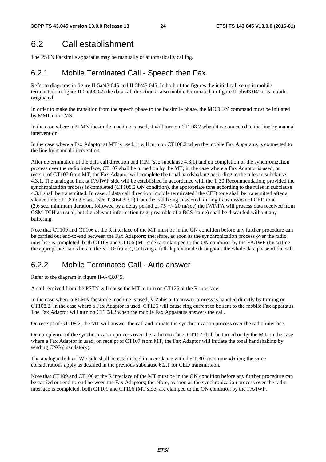## 6.2 Call establishment

The PSTN Facsimile apparatus may be manually or automatically calling.

## 6.2.1 Mobile Terminated Call - Speech then Fax

Refer to diagrams in figure II-5a/43.045 and II-5b/43.045. In both of the figures the initial call setup is mobile terminated. In figure II-5a/43.045 the data call direction is also mobile terminated, in figure II-5b/43.045 it is mobile originated.

In order to make the transition from the speech phase to the facsimile phase, the MODIFY command must be initiated by MMI at the MS

In the case where a PLMN facsimile machine is used, it will turn on CT108.2 when it is connected to the line by manual intervention.

In the case where a Fax Adaptor at MT is used, it will turn on CT108.2 when the mobile Fax Apparatus is connected to the line by manual intervention.

After determination of the data call direction and ICM (see subclause 4.3.1) and on completion of the synchronization process over the radio interface, CT107 shall be turned on by the MT; in the case where a Fax Adaptor is used, on receipt of CT107 from MT, the Fax Adaptor will complete the tonal handshaking according to the rules in subclause 4.3.1. The analogue link at FA/IWF side will be established in accordance with the T.30 Recommendation; provided the synchronization process is completed (CT108.2 ON condition), the appropriate tone according to the rules in subclause 4.3.1 shall be transmitted. In case of data call direction "mobile terminated" the CED tone shall be transmitted after a silence time of 1,8 to 2,5 sec. (see T.30/4.3.3.2) from the call being answered; during transmission of CED tone (2,6 sec. minimum duration, followed by a delay period of  $75 +/- 20$  m/sec) the IWF/FA will process data received from GSM-TCH as usual, but the relevant information (e.g. preamble of a BCS frame) shall be discarded without any buffering.

Note that CT109 and CT106 at the R interface of the MT must be in the ON condition before any further procedure can be carried out end-to-end between the Fax Adaptors; therefore, as soon as the synchronization process over the radio interface is completed, both CT109 and CT106 (MT side) are clamped to the ON condition by the FA/IWF (by setting the appropriate status bits in the V.110 frame), so fixing a full-duplex mode throughout the whole data phase of the call.

## 6.2.2 Mobile Terminated Call - Auto answer

Refer to the diagram in figure II-6/43.045.

A call received from the PSTN will cause the MT to turn on CT125 at the R interface.

In the case where a PLMN facsimile machine is used, V.25bis auto answer process is handled directly by turning on CT108.2. In the case where a Fax Adaptor is used, CT125 will cause ring current to be sent to the mobile Fax apparatus. The Fax Adaptor will turn on CT108.2 when the mobile Fax Apparatus answers the call.

On receipt of CT108.2, the MT will answer the call and initiate the synchronization process over the radio interface.

On completion of the synchronization process over the radio interface, CT107 shall be turned on by the MT; in the case where a Fax Adaptor is used, on receipt of CT107 from MT, the Fax Adaptor will initiate the tonal handshaking by sending CNG (mandatory).

The analogue link at IWF side shall be established in accordance with the T.30 Recommendation; the same considerations apply as detailed in the previous subclause 6.2.1 for CED transmission.

Note that CT109 and CT106 at the R interface of the MT must be in the ON condition before any further procedure can be carried out end-to-end between the Fax Adaptors; therefore, as soon as the synchronization process over the radio interface is completed, both CT109 and CT106 (MT side) are clamped to the ON condition by the FA/IWF.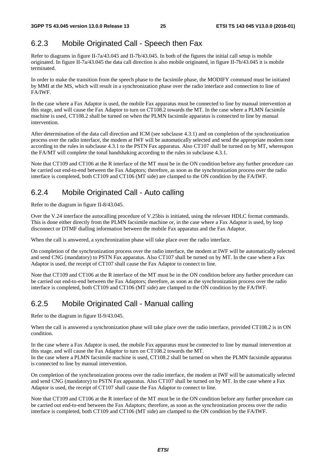## 6.2.3 Mobile Originated Call - Speech then Fax

Refer to diagrams in figure II-7a/43.045 and II-7b/43.045. In both of the figures the initial call setup is mobile originated. In figure II-7a/43.045 the data call direction is also mobile originated, in figure II-7b/43.045 it is mobile terminated.

In order to make the transition from the speech phase to the facsimile phase, the MODIFY command must be initiated by MMI at the MS, which will result in a synchronization phase over the radio interface and connection to line of FA/IWF.

In the case where a Fax Adaptor is used, the mobile Fax apparatus must be connected to line by manual intervention at this stage, and will cause the Fax Adaptor to turn on CT108.2 towards the MT. In the case where a PLMN facsimile machine is used, CT108.2 shall be turned on when the PLMN facsimile apparatus is connected to line by manual intervention.

After determination of the data call direction and ICM (see subclause 4.3.1) and on completion of the synchronization process over the radio interface, the modem at IWF will be automatically selected and send the appropriate modem tone according to the rules in subclause 4.3.1 to the PSTN Fax apparatus. Also CT107 shall be turned on by MT, whereupon the FA/MT will complete the tonal handshaking according to the rules in subclause 4.3.1.

Note that CT109 and CT106 at the R interface of the MT must be in the ON condition before any further procedure can be carried out end-to-end between the Fax Adaptors; therefore, as soon as the synchronization process over the radio interface is completed, both CT109 and CT106 (MT side) are clamped to the ON condition by the FA/IWF.

## 6.2.4 Mobile Originated Call - Auto calling

Refer to the diagram in figure II-8/43.045.

Over the V.24 interface the autocalling procedure of V.25bis is initiated, using the relevant HDLC format commands. This is done either directly from the PLMN facsimile machine or, in the case where a Fax Adaptor is used, by loop disconnect or DTMF dialling information between the mobile Fax apparatus and the Fax Adaptor.

When the call is answered, a synchronization phase will take place over the radio interface.

On completion of the synchronization process over the radio interface, the modem at IWF will be automatically selected and send CNG (mandatory) to PSTN Fax apparatus. Also CT107 shall be turned on by MT. In the case where a Fax Adaptor is used, the receipt of CT107 shall cause the Fax Adaptor to connect to line.

Note that CT109 and CT106 at the R interface of the MT must be in the ON condition before any further procedure can be carried out end-to-end between the Fax Adaptors; therefore, as soon as the synchronization process over the radio interface is completed, both CT109 and CT106 (MT side) are clamped to the ON condition by the FA/IWF.

## 6.2.5 Mobile Originated Call - Manual calling

Refer to the diagram in figure II-9/43.045.

When the call is answered a synchronization phase will take place over the radio interface, provided CT108.2 is in ON condition.

In the case where a Fax Adaptor is used, the mobile Fax apparatus must be connected to line by manual intervention at this stage, and will cause the Fax Adaptor to turn on CT108.2 towards the MT.

In the case where a PLMN facsimile machine is used, CT108.2 shall be turned on when the PLMN facsimile apparatus is connected to line by manual intervention.

On completion of the synchronization process over the radio interface, the modem at IWF will be automatically selected and send CNG (mandatory) to PSTN Fax apparatus. Also CT107 shall be turned on by MT. In the case where a Fax Adaptor is used, the receipt of CT107 shall cause the Fax Adaptor to connect to line.

Note that CT109 and CT106 at the R interface of the MT must be in the ON condition before any further procedure can be carried out end-to-end between the Fax Adaptors; therefore, as soon as the synchronization process over the radio interface is completed, both CT109 and CT106 (MT side) are clamped to the ON condition by the FA/IWF.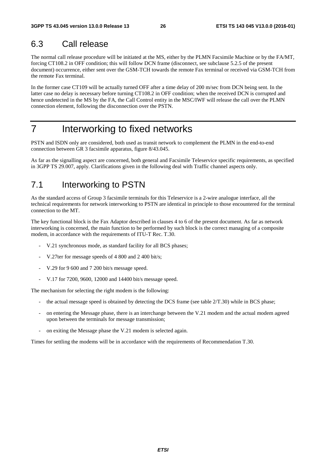## 6.3 Call release

The normal call release procedure will be initiated at the MS, either by the PLMN Facsimile Machine or by the FA/MT, forcing CT108.2 in OFF condition; this will follow DCN frame (disconnect, see subclause 5.2.5 of the present document) occurrence, either sent over the GSM-TCH towards the remote Fax terminal or received via GSM-TCH from the remote Fax terminal.

In the former case CT109 will be actually turned OFF after a time delay of 200 m/sec from DCN being sent. In the latter case no delay is necessary before turning CT108.2 in OFF condition; when the received DCN is corrupted and hence undetected in the MS by the FA, the Call Control entity in the MSC/IWF will release the call over the PLMN connection element, following the disconnection over the PSTN.

## 7 Interworking to fixed networks

PSTN and ISDN only are considered, both used as transit network to complement the PLMN in the end-to-end connection between GR 3 facsimile apparatus, figure 8/43.045.

As far as the signalling aspect are concerned, both general and Facsimile Teleservice specific requirements, as specified in 3GPP TS 29.007, apply. Clarifications given in the following deal with Traffic channel aspects only.

## 7.1 Interworking to PSTN

As the standard access of Group 3 facsimile terminals for this Teleservice is a 2-wire analogue interface, all the technical requirements for network interworking to PSTN are identical in principle to those encountered for the terminal connection to the MT.

The key functional block is the Fax Adaptor described in clauses 4 to 6 of the present document. As far as network interworking is concerned, the main function to be performed by such block is the correct managing of a composite modem, in accordance with the requirements of ITU-T Rec. T.30.

- V.21 synchronous mode, as standard facility for all BCS phases;
- V.27ter for message speeds of 4 800 and 2 400 bit/s;
- V.29 for 9 600 and 7 200 bit/s message speed.
- V.17 for 7200, 9600, 12000 and 14400 bit/s message speed.

The mechanism for selecting the right modem is the following:

- the actual message speed is obtained by detecting the DCS frame (see table  $2/T.30$ ) while in BCS phase;
- on entering the Message phase, there is an interchange between the V.21 modem and the actual modem agreed upon between the terminals for message transmission;
- on exiting the Message phase the V.21 modem is selected again.

Times for settling the modems will be in accordance with the requirements of Recommendation T.30.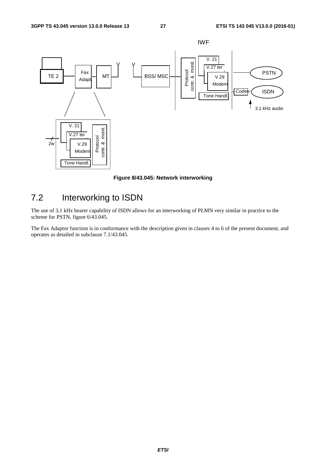

**Figure 8/43.045: Network interworking** 

## 7.2 Interworking to ISDN

The use of 3,1 kHz bearer capability of ISDN allows for an interworking of PLMN very similar in practice to the scheme for PSTN, figure 6/43.045.

The Fax Adaptor function is in conformance with the description given in clauses 4 to 6 of the present document, and operates as detailed in subclause 7.1/43.045.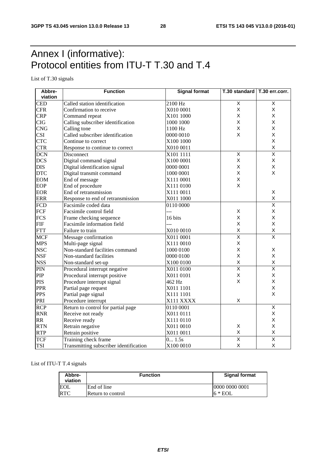## Annex I (informative): Protocol entities from ITU-T T.30 and T.4

List of T.30 signals

| Abbre-           | <b>Function</b>                        | <b>Signal format</b> | T.30 standard   T.30 err.corr. |                         |  |
|------------------|----------------------------------------|----------------------|--------------------------------|-------------------------|--|
| viation          |                                        |                      |                                |                         |  |
| <b>CED</b>       | Called station identification          | 2100 Hz              | $\overline{X}$                 | Χ                       |  |
| <b>CFR</b>       | Confirmation to receive                | X010 0001            | X                              | X                       |  |
| <b>CRP</b>       | Command repeat                         | X101 1000            | X                              | X                       |  |
| <b>CIG</b>       | Calling subscriber identification      | 1000 1000            | X                              | X                       |  |
| <b>CNG</b>       | Calling tone                           | 1100 Hz              | X                              | X                       |  |
| <b>CSI</b>       | Called subscriber identification       | 0000 0010            | X                              | X                       |  |
| <b>CTC</b>       | Continue to correct                    | X100 1000            |                                | X                       |  |
| <b>CTR</b>       | Response to continue to correct        | X010 0011            |                                | X                       |  |
| <b>DCN</b>       | Disconnect                             | X101 1111            | $\overline{X}$                 | $\overline{\mathsf{x}}$ |  |
| <b>DCS</b>       | Digital command signal                 | X100 0001            | X                              | Χ                       |  |
| <b>DIS</b>       | Digital identification signal          | 0000 0001            | X                              | Χ                       |  |
| <b>DTC</b>       | Digital transmit command               | 1000 0001            | X                              | X                       |  |
| <b>EOM</b>       | End of message                         | X111 0001            | X                              |                         |  |
| <b>EOP</b>       | End of procedure                       | X111 0100            | X                              |                         |  |
| <b>EOR</b>       | End of retransmission                  | X111 0011            |                                | Χ                       |  |
| <b>ERR</b>       | Response to end of retransmission      | X011 1000            |                                | X                       |  |
| <b>FCD</b>       | Facsimile coded data                   | 0110 0000            |                                | $\overline{\mathsf{x}}$ |  |
| FCF              | Facsimile control field                | ---                  | X                              | X                       |  |
| <b>FCS</b>       | Frame checking sequence                | 16 bits              | X                              | X                       |  |
| <b>FIF</b>       | Facsimile information field            | ---                  | X                              | X                       |  |
| <b>FTT</b>       | Failure to train                       | X010 0010            | X                              | $\sf X$                 |  |
| <b>MCF</b>       | Message confirmation                   | X011 0001            | $\overline{\mathsf{x}}$        | $\overline{\mathsf{x}}$ |  |
| <b>MPS</b>       | Multi-page signal                      | X111 0010            | $\mathsf X$                    |                         |  |
| <b>NSC</b>       | Non-standard facilities command        | 1000 0100            | X                              | X                       |  |
| <b>NSF</b>       | Non-standard facilities                | 0000 0100            | $\mathsf{x}$                   | X                       |  |
| <b>NSS</b>       | Non-standard set-up                    | X100 0100            | $\sf X$                        | X                       |  |
| PIN              | Procedural interrupt negative          | X011 0100            | $\overline{\mathsf{x}}$        | $\overline{\mathsf{x}}$ |  |
| PIP              | Procedural interrupt positive          | X011 0101            | X                              | X                       |  |
| <b>PIS</b>       | Procedure interrupt signal             | 462 Hz               | $\mathsf{X}$                   | X                       |  |
| <b>PPR</b>       | Partial page request                   | X011 1101            |                                | X                       |  |
| <b>PPS</b>       | Partial page signal                    | X111 1101            |                                | X                       |  |
| PRI              | Procedure interrupt                    | X111 XXXX            | X                              |                         |  |
| $\overline{RCP}$ | Return to control for partial page     | 0110 0001            |                                | $\overline{\mathsf{x}}$ |  |
| <b>RNR</b>       | Receive not ready                      | X011 0111            |                                | X                       |  |
| <b>RR</b>        | Receive ready                          | X111 0110            |                                | X                       |  |
| <b>RTN</b>       | Retrain negative                       | X011 0010            | X                              | X                       |  |
| <b>RTP</b>       | Retrain positive                       | X011 0011            | $\sf X$                        | $\pmb{\mathsf{X}}$      |  |
| <b>TCF</b>       | Training check frame                   | 0 1.5s               | $\overline{\mathsf{x}}$        | $\overline{\mathsf{x}}$ |  |
| <b>TSI</b>       | Transmitting subscriber identification | X100 0010            | $\sf X$                        | X                       |  |

#### List of ITU-T T.4 signals

| Abbre-<br>viation | <b>Function</b>   | <b>Signal format</b> |
|-------------------|-------------------|----------------------|
| <b>EOL</b>        | End of line       | 0000 0000 0001       |
| <b>RTC</b>        | Return to control | $6 * EOL$            |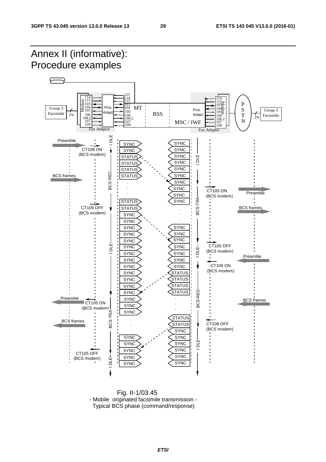

 Fig. II-1/03.45 - Mobile originated facsimile transmission - Typical BCS phase (command/response)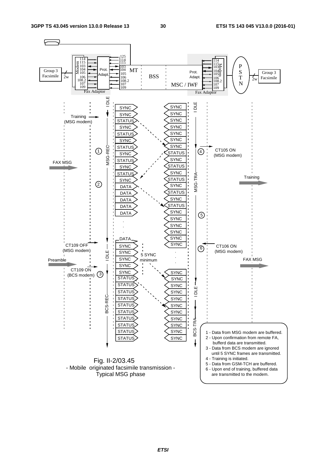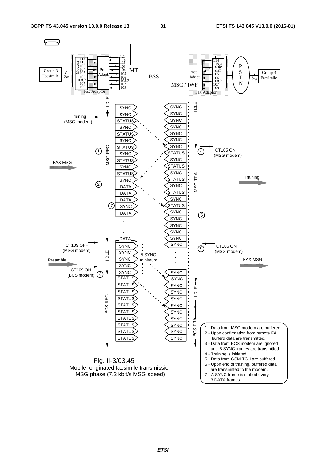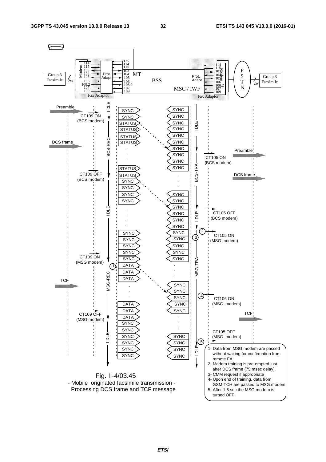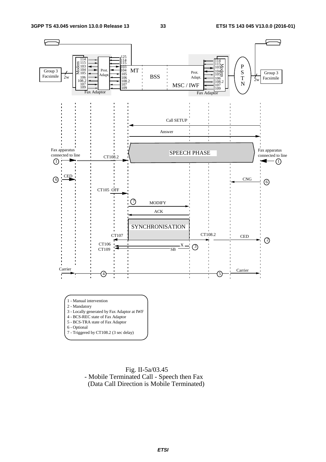

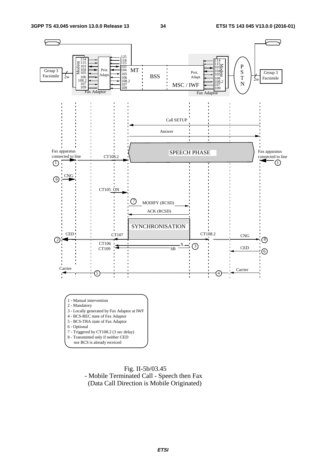

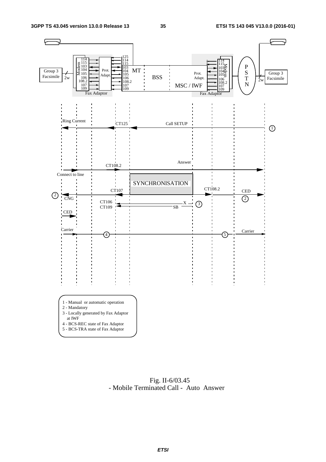

 Fig. II-6/03.45 - Mobile Terminated Call - Auto Answer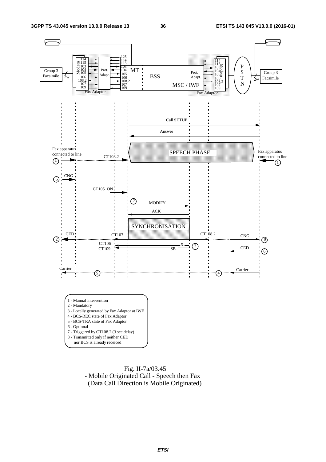

 Fig. II-7a/03.45 - Mobile Originated Call - Speech then Fax (Data Call Direction is Mobile Originated)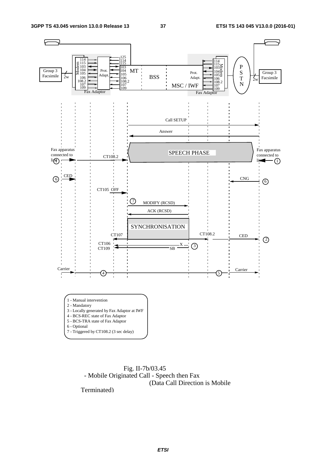

 Fig. II-7b/03.45 - Mobile Originated Call - Speech then Fax (Data Call Direction is Mobile

Terminated)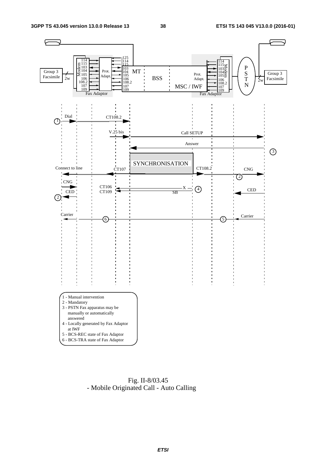

 Fig. II-8/03.45 - Mobile Originated Call - Auto Calling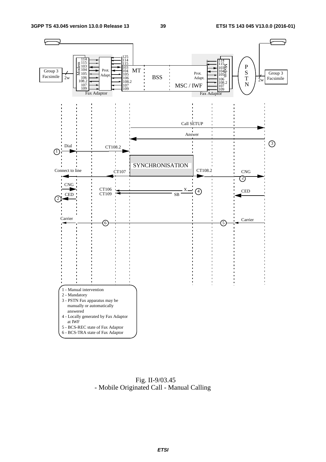

 Fig. II-9/03.45 - Mobile Originated Call - Manual Calling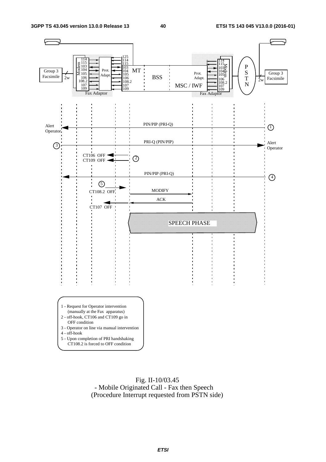

 Fig. II-10/03.45 - Mobile Originated Call - Fax then Speech (Procedure Interrupt requested from PSTN side)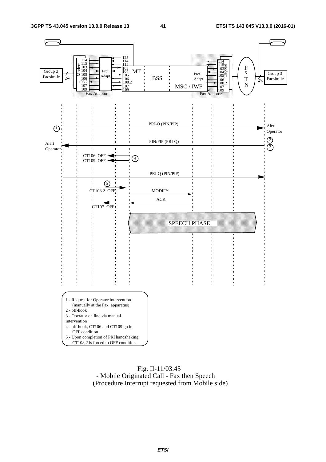

### Fig. II-11/03.45 - Mobile Originated Call - Fax then Speech (Procedure Interrupt requested from Mobile side)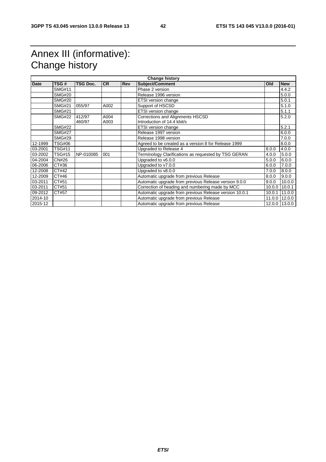## Annex III (informative): Change history

| <b>Date</b> | TSG#          | <b>TSG Doc.</b>  | <b>CR</b>    | <b>Rev</b> | <b>Change history</b><br><b>Subject/Comment</b>                 | <b>Old</b> | <b>New</b>    |
|-------------|---------------|------------------|--------------|------------|-----------------------------------------------------------------|------------|---------------|
|             | <b>SMG#11</b> |                  |              |            | Phase 2 version                                                 |            | 4.4.2         |
|             | <b>SMG#20</b> |                  |              |            | Release 1996 version                                            |            | 5.0.0         |
|             | <b>SMG#20</b> |                  |              |            | ETSI version change                                             |            | 5.0.1         |
|             | <b>SMG#21</b> | 055/97           | A002         |            | Support of HSCSD                                                |            | 5.1.0         |
|             | <b>SMG#21</b> |                  |              |            | ETSI version change                                             |            | 5.1.1         |
|             | <b>SMG#22</b> | 412/97<br>460/97 | A004<br>A003 |            | Corrections and Alignments HSCSD<br>Introduction of 14.4 kbit/s |            | 5.2.0         |
|             | <b>SMG#22</b> |                  |              |            | ETSI version change                                             |            | 5.2.1         |
|             | <b>SMG#27</b> |                  |              |            | Release 1997 version                                            |            | 6.0.0         |
|             | <b>SMG#29</b> |                  |              |            | Release 1998 version                                            |            | 7.0.0         |
| 12-1999     | <b>TSG#06</b> |                  |              |            | Agreed to be created as a version 8 for Release 1999            |            | 8.0.0         |
| 03-2001     | <b>TSG#11</b> |                  |              |            | Upgraded to Release 4                                           | 8.0.0      | 4.0.0         |
| 03-2002     | <b>TSG#15</b> | NP-010085        | 001          |            | Terminology Clarifications as requested by TSG GERAN            | 4.0.0      | 5.0.0         |
| 04-2004     | <b>CN#26</b>  |                  |              |            | Upgraded to v6.0.0                                              | 5.0.0      | 6.0.0         |
| 06-2006     | CT#36         |                  |              |            | Upgraded to v7.0.0                                              | 6.0.0      | 7.0.0         |
| 12-2008     | CT#42         |                  |              |            | Upgraded to v8.0.0                                              | 7.0.0      | 8.0.0         |
| 12-2009     | CT#46         |                  |              |            | Automatic upgrade from previous Release                         | 8.0.0      | 9.0.0         |
| 03-2011     | CT#51         |                  |              |            | Automatic upgrade from previous Release version 9.0.0           | 9.0.0      | 10.0.0        |
| 03-2011     | CT#51         |                  |              |            | Correction of heading and numbering made by MCC                 | 10.0.0     | 10.0.1        |
| 09-2012     | CT#57         |                  |              |            | Automatic upgrade from previous Release version 10.0.1          | 10.0.1     | 11.0.0        |
| 2014-10     |               |                  |              |            | Automatic upgrade from previous Release                         | 11.0.0     | 12.0.0        |
| 2015-12     |               |                  |              |            | Automatic upgrade from previous Release                         |            | 12.0.0 13.0.0 |